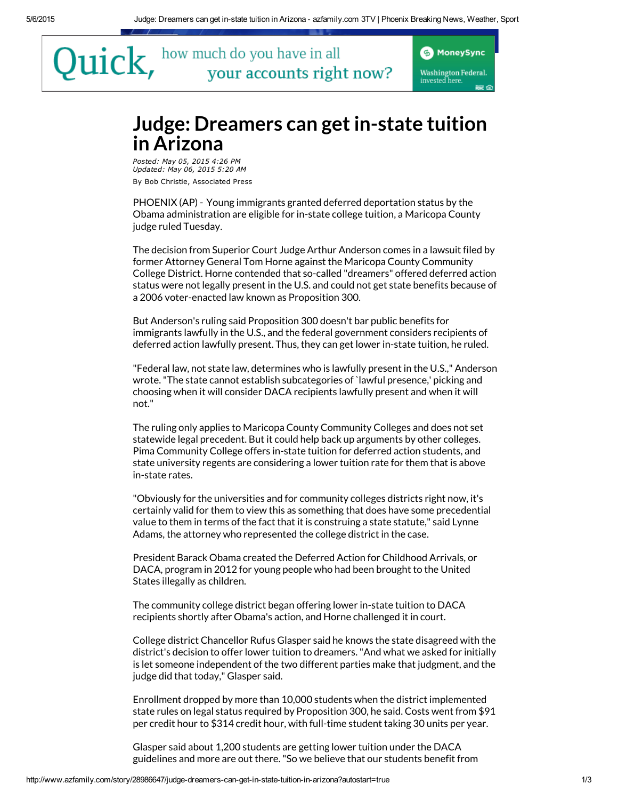## $\overline{\rm \bf{Quick}}_{\rm}$  how much do you have in all your accounts right now?



## [Judge:](http://twitter.com/azfamily/status/595978934820282369/photo/1) Dre[amers](http://web.adblade.com/clicks.php?appId=12641&zid=54e3ad4a2652d&adId=177524&pos=7&impt=1430927609&zoneId=1013&algid=4&reqid=534a7ba3f4b1d0be&ord=1430927609&url=http%3A%2F%2Fwww.azfamily.com%2Fstory%2F28986647%2Fjudge-dreamers-can-get-in-state-tuition-in-arizona%3Fautostart%3Dtrue) can get in-state tuition in [Arizon](http://oascentral.datasphere.com/RealMedia/ads/click_lx.ads/ktvk/article/L12/782729455/Frame2/Datasphere/12605271_Zone_AP_67144/1421253796_12605271_CustomCoolingAndPlumbing300x250.png.html/52414f2b6a46426268344d41446f2f58)[a](http://web.adblade.com/clicks.php?appId=12641&zid=54ca5775f3d49&adId=172061&pos=6&impt=1430927609&zoneId=1013&algid=4&reqid=534a7ba3f4b1d0be&ord=1430927609&url=http%3A%2F%2Fwww.azfamily.com%2Fstory%2F28986647%2Fjudge-dreamers-can-get-in-state-tuition-in-arizona%3Fautostart%3Dtrue)

By Bob Christie, Associated Press *Posted: May 05, 2015 4:26 PM Updated: May 06, [2015](http://l.facebook.com/l.php?u=http%3A%2F%2Fwww.azfamily.com%2Fstory%2F28986647%2Fjudge-dreamers-can-get-in-state-tuition-in-arizona%3Ffb_comment_id%3Dfbc_695268003935014_695302177264930_695302177264930&h=gAQE2q1Af&s=1) 5:20 AM*

[PHOENIX](http://web.adblade.com/clicks.php?appId=12641&zid=54ca5775f3d49&adId=172061&pos=6&impt=1430927609&zoneId=1013&algid=4&reqid=534a7ba3f4b1d0be&ord=1430927609&url=http%3A%2F%2Fwww.azfamily.com%2Fstory%2F28986647%2Fjudge-dreamers-can-get-in-state-tuition-in-arizona%3Fautostart%3Dtrue) (AP) - Young [immigrants](http://web.adblade.com/clicks.php?appId=12641&zid=54e3ad4a2652d&adId=177524&pos=7&impt=1430927609&zoneId=1013&algid=4&reqid=534a7ba3f4b1d0be&ord=1430927609&url=http%3A%2F%2Fwww.azfamily.com%2Fstory%2F28986647%2Fjudge-dreamers-can-get-in-state-tuition-in-arizona%3Fautostart%3Dtrue) granted deferred [deportation](http://web.adblade.com/clicks.php?appId=12641&zid=54e4c7bc5fbd8&adId=177884&pos=8&impt=1430927609&zoneId=1013&algid=4&reqid=534a7ba3f4b1d0be&ord=1430927609&url=http%3A%2F%2Fwww.azfamily.com%2Fstory%2F28986647%2Fjudge-dreamers-can-get-in-state-tuition-in-arizona%3Fautostart%3Dtrue) status by the Obama administration are eligible for in-state college tuition, a Maricopa County judge ruled Tuesday.

The decision from Superior Court Judge Arthur Anderson comes in a lawsuit filed by former Attorney [G](https://twitter.com/intent/tweet?in_reply_to=595978934820282369)[ene](https://twitter.com/intent/favorite?tweet_id=595978934820282369)ral Tom Horne against the Maricopa County Community [Colleg](https://www.facebook.com/1badboss)e Distri[ct.](https://twitter.com/azfamily/status/595943630235312129) Horne [contended](https://www.facebook.com/pages/Mesa-Arizona/104069826296214) that so-called "dreamers" offered deferred action status were not legally present in the U.S. and could not get state benefits because of a 2006 voter-enacted law known as Proposition 300.

But [Anderson's](http://t.co/Gsr5pYoxKq) ruling said Proposition 300 doesn't bar public benefits for immigrants lawfully in the U.S., and the federal government considers recipients of deferred action lawfully present. Thus, they can get lower in-state tuition, he ruled.

"Federal law, not state law, determines who is lawfully present in the U.S.," Anderson [wrote."The](http://twitter.com/azfamily/status/595943630235312129/photo/1) state cannot establish subcategories of `lawful presence,' picking and [choosing](https://twitter.com/intent/tweet?screen_name=azfamily) when it will consider DACA recipients lawfully present and when it will not."

The ruling only applies to Maricopa County Community Colleges and does not set statewide legal precedent. But it could help back up arguments by other colleges. Pima Community [Coll](https://twitter.com/intent/retweet?tweet_id=595943630235312129)ege offers in-state tuition for deferred action students, and state universi[ty](https://twitter.com/azfamily/status/595932501916266496) regents are considering a lower tuition rate for them that is above in-state rates.

"Obviously for the universities and for community colleges districts right now, it's certainly valid for them to view this as something that does have some precedential value to them in terms of the fact that it is construing a state statute," said Lynne Adams, the attorney who represented the college district in the case.

[President](http://twitter.com/azfamily/status/595932501916266496/photo/1) Barack Obama created the Deferred Action for Childhood Arrivals, or DACA, program in 2012 for young people who had been brought to the United States illegally as children.

The community college district began offering lower in-state tuition to DACA recipients sh[ort](https://twitter.com/JillGalus/status/595744570123640832)ly [a](https://twitter.com/intent/tweet?in_reply_to=595932501916266496)[fte](https://twitter.com/intent/retweet?tweet_id=595932501916266496)r Obama's action, and Horne challenged it in court.

College district Chancellor Rufus Glasper said he knows the state disagreed with the district's decision to offer lower tuition to dreamers."And what we asked for initially is let [som](https://twitter.com/hashtag/3tv?src=hash)eone independent of the two different parties make that judgment, and the judge did that today," Glasper said.

Enrollment dro[pped](https://twitter.com/intent/favorite?tweet_id=595744631868006400) by more than 10,000 students when the district implemented state rules on [le](https://twitter.com/azfamily/status/595744605431267328)gal status required by Proposition 300, he said. Costs went from \$91 per credit hour to \$314 credit hour, with full-time student taking 30 units per year.

Glasper said about 1,200 students are getting lower tuition under the DACA [guidelines](http://t.co/zUDG7uXcrk) and more are out there."So we believe that our students benefit from